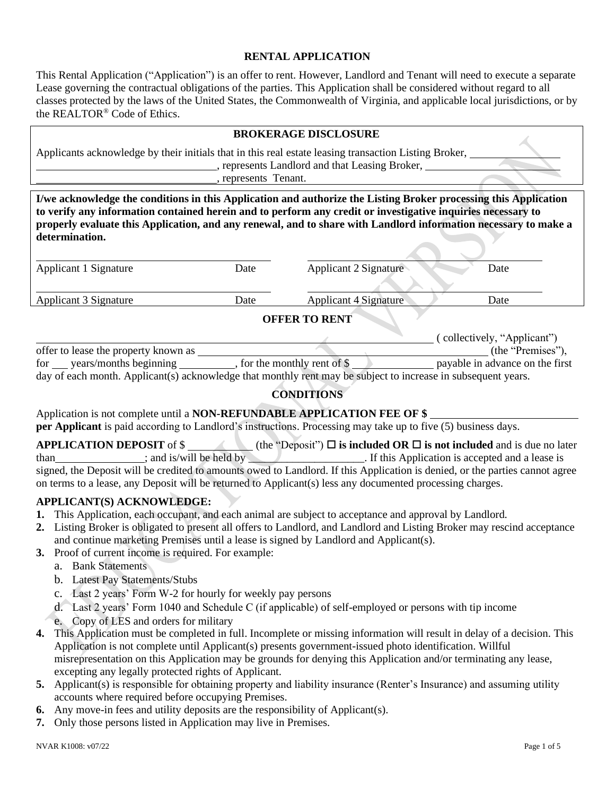### **RENTAL APPLICATION**

This Rental Application ("Application") is an offer to rent. However, Landlord and Tenant will need to execute a separate Lease governing the contractual obligations of the parties. This Application shall be considered without regard to all classes protected by the laws of the United States, the Commonwealth of Virginia, and applicable local jurisdictions, or by the REALTOR® Code of Ethics.

|                                                                                                                                                                               |                                                                                                                                                                                                                                                                                                                                                     | <b>BROKERAGE DISCLOSURE</b> |      |  |  |  |  |
|-------------------------------------------------------------------------------------------------------------------------------------------------------------------------------|-----------------------------------------------------------------------------------------------------------------------------------------------------------------------------------------------------------------------------------------------------------------------------------------------------------------------------------------------------|-----------------------------|------|--|--|--|--|
| Applicants acknowledge by their initials that in this real estate leasing transaction Listing Broker,<br>, represents Landlord and that Leasing Broker,<br>represents Tenant. |                                                                                                                                                                                                                                                                                                                                                     |                             |      |  |  |  |  |
| determination.                                                                                                                                                                | I/we acknowledge the conditions in this Application and authorize the Listing Broker processing this Application<br>to verify any information contained herein and to perform any credit or investigative inquiries necessary to<br>properly evaluate this Application, and any renewal, and to share with Landlord information necessary to make a |                             |      |  |  |  |  |
| Applicant 1 Signature                                                                                                                                                         | Date                                                                                                                                                                                                                                                                                                                                                | Applicant 2 Signature       | Date |  |  |  |  |

Applicant 3 Signature Date Applicant 4 Signature Date Applicant 4 Signature Date **OFFER TO RENT** ( collectively, "Applicant") offer to lease the property known as  $($ the "Premises"),  $($ the "Premises"),  $($ the "Premises"),  $($ the "Premises"),  $($ the "Premises"),  $($ the "Premises"),  $($ the "Premises"),  $($ the "Premises"),  $($ the "Premises"),  $($ th for years/months beginning , for the monthly rent of \$ payable in advance on the first

day of each month. Applicant(s) acknowledge that monthly rent may be subject to increase in subsequent years.

## **CONDITIONS**

Application is not complete until a **NON-REFUNDABLE APPLICATION FEE OF \$** 

**per Applicant** is paid according to Landlord's instructions. Processing may take up to five (5) business days.

**APPLICATION DEPOSIT** of  $\oint$  (the "Deposit")  $\Box$  **is included OR**  $\Box$  **is not included** and is due no later than : and is/will be held by than ; and is/will be held by  $\Box$ . If this Application is accepted and a lease is signed, the Deposit will be credited to amounts owed to Landlord. If this Application is denied, or the parties cannot agree on terms to a lease, any Deposit will be returned to Applicant(s) less any documented processing charges.

### **APPLICANT(S) ACKNOWLEDGE:**

- **1.** This Application, each occupant, and each animal are subject to acceptance and approval by Landlord.
- **2.** Listing Broker is obligated to present all offers to Landlord, and Landlord and Listing Broker may rescind acceptance and continue marketing Premises until a lease is signed by Landlord and Applicant(s).
- **3.** Proof of current income is required. For example:
	- a. Bank Statements
	- b. Latest Pay Statements/Stubs
	- c. Last 2 years' Form W-2 for hourly for weekly pay persons
	- d. Last 2 years' Form 1040 and Schedule C (if applicable) of self-employed or persons with tip income
	- e. Copy of LES and orders for military
- **4.** This Application must be completed in full. Incomplete or missing information will result in delay of a decision. This Application is not complete until Applicant(s) presents government-issued photo identification. Willful misrepresentation on this Application may be grounds for denying this Application and/or terminating any lease, excepting any legally protected rights of Applicant.
- **5.** Applicant(s) is responsible for obtaining property and liability insurance (Renter's Insurance) and assuming utility accounts where required before occupying Premises.
- **6.** Any move-in fees and utility deposits are the responsibility of Applicant(s).
- **7.** Only those persons listed in Application may live in Premises.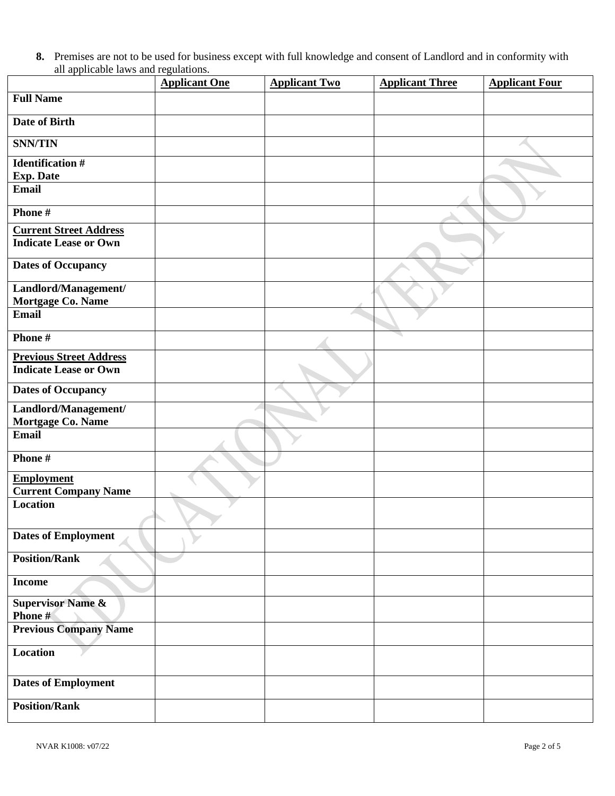**8.** Premises are not to be used for business except with full knowledge and consent of Landlord and in conformity with all applicable laws and regulations.

|                                                                | <b>Applicant One</b> | <b>Applicant Two</b> | <b>Applicant Three</b> | <b>Applicant Four</b> |
|----------------------------------------------------------------|----------------------|----------------------|------------------------|-----------------------|
| <b>Full Name</b>                                               |                      |                      |                        |                       |
| Date of Birth                                                  |                      |                      |                        |                       |
| <b>SNN/TIN</b>                                                 |                      |                      |                        |                       |
| <b>Identification #</b><br><b>Exp. Date</b>                    |                      |                      |                        |                       |
| <b>Email</b>                                                   |                      |                      |                        |                       |
| Phone#                                                         |                      |                      |                        |                       |
| <b>Current Street Address</b><br><b>Indicate Lease or Own</b>  |                      |                      |                        |                       |
| <b>Dates of Occupancy</b>                                      |                      |                      |                        |                       |
| Landlord/Management/<br>Mortgage Co. Name                      |                      |                      |                        |                       |
| <b>Email</b>                                                   |                      |                      |                        |                       |
| Phone $#$                                                      |                      |                      |                        |                       |
| <b>Previous Street Address</b><br><b>Indicate Lease or Own</b> |                      |                      |                        |                       |
| <b>Dates of Occupancy</b>                                      |                      |                      |                        |                       |
| Landlord/Management/<br>Mortgage Co. Name                      |                      |                      |                        |                       |
| <b>Email</b>                                                   |                      |                      |                        |                       |
| Phone#                                                         |                      |                      |                        |                       |
| <b>Employment</b><br><b>Current Company Name</b>               |                      |                      |                        |                       |
| <b>Location</b>                                                |                      |                      |                        |                       |
| <b>Dates of Employment</b>                                     |                      |                      |                        |                       |
| <b>Position/Rank</b>                                           |                      |                      |                        |                       |
| <b>Income</b>                                                  |                      |                      |                        |                       |
| <b>Supervisor Name &amp;</b><br>Phone #                        |                      |                      |                        |                       |
| <b>Previous Company Name</b>                                   |                      |                      |                        |                       |
| Location                                                       |                      |                      |                        |                       |
| <b>Dates of Employment</b>                                     |                      |                      |                        |                       |
| <b>Position/Rank</b>                                           |                      |                      |                        |                       |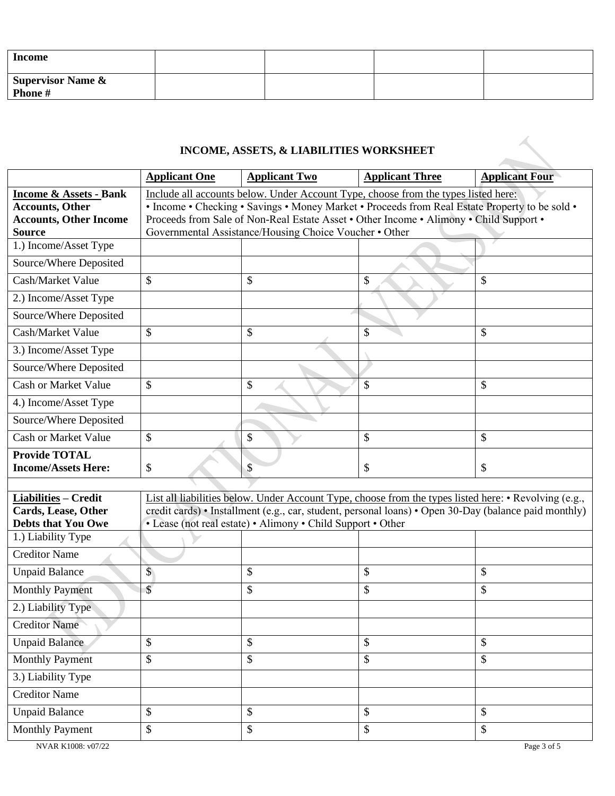| <b>Income</b>                |  |  |
|------------------------------|--|--|
| Supervisor Name &<br>Phone # |  |  |

# **INCOME, ASSETS, & LIABILITIES WORKSHEET**

|                                                |                                                                                                                                                  | INCOME, ASSETS, & LIABILITIES WORKSHEET                     |                                                                                                       |                       |  |  |  |  |
|------------------------------------------------|--------------------------------------------------------------------------------------------------------------------------------------------------|-------------------------------------------------------------|-------------------------------------------------------------------------------------------------------|-----------------------|--|--|--|--|
|                                                | <b>Applicant One</b>                                                                                                                             | <b>Applicant Two</b>                                        | <b>Applicant Three</b>                                                                                | <b>Applicant Four</b> |  |  |  |  |
| <b>Income &amp; Assets - Bank</b>              | Include all accounts below. Under Account Type, choose from the types listed here:                                                               |                                                             |                                                                                                       |                       |  |  |  |  |
| <b>Accounts, Other</b>                         | • Income • Checking • Savings • Money Market • Proceeds from Real Estate Property to be sold •                                                   |                                                             |                                                                                                       |                       |  |  |  |  |
| <b>Accounts, Other Income</b><br><b>Source</b> | Proceeds from Sale of Non-Real Estate Asset • Other Income • Alimony • Child Support •<br>Governmental Assistance/Housing Choice Voucher • Other |                                                             |                                                                                                       |                       |  |  |  |  |
| 1.) Income/Asset Type                          |                                                                                                                                                  |                                                             |                                                                                                       |                       |  |  |  |  |
| Source/Where Deposited                         |                                                                                                                                                  |                                                             |                                                                                                       |                       |  |  |  |  |
| Cash/Market Value                              | \$                                                                                                                                               | \$                                                          | $\mathbb{S}$                                                                                          | \$                    |  |  |  |  |
| 2.) Income/Asset Type                          |                                                                                                                                                  |                                                             |                                                                                                       |                       |  |  |  |  |
| Source/Where Deposited                         |                                                                                                                                                  |                                                             |                                                                                                       |                       |  |  |  |  |
| Cash/Market Value                              | \$                                                                                                                                               | \$                                                          | \$                                                                                                    | \$                    |  |  |  |  |
| 3.) Income/Asset Type                          |                                                                                                                                                  |                                                             |                                                                                                       |                       |  |  |  |  |
| Source/Where Deposited                         |                                                                                                                                                  |                                                             |                                                                                                       |                       |  |  |  |  |
| <b>Cash or Market Value</b>                    | \$                                                                                                                                               | \$                                                          | \$                                                                                                    | \$                    |  |  |  |  |
| 4.) Income/Asset Type                          |                                                                                                                                                  |                                                             |                                                                                                       |                       |  |  |  |  |
| Source/Where Deposited                         |                                                                                                                                                  |                                                             |                                                                                                       |                       |  |  |  |  |
| <b>Cash or Market Value</b>                    | \$                                                                                                                                               | \$                                                          | \$                                                                                                    | $\mathcal{S}$         |  |  |  |  |
| <b>Provide TOTAL</b>                           |                                                                                                                                                  |                                                             |                                                                                                       |                       |  |  |  |  |
| <b>Income/Assets Here:</b>                     | \$                                                                                                                                               | \$                                                          | \$                                                                                                    | \$                    |  |  |  |  |
| <b>Liabilities - Credit</b>                    |                                                                                                                                                  |                                                             | List all liabilities below. Under Account Type, choose from the types listed here: • Revolving (e.g., |                       |  |  |  |  |
| <b>Cards, Lease, Other</b>                     |                                                                                                                                                  |                                                             | credit cards) • Installment (e.g., car, student, personal loans) • Open 30-Day (balance paid monthly) |                       |  |  |  |  |
| <b>Debts that You Owe</b>                      |                                                                                                                                                  | • Lease (not real estate) • Alimony • Child Support • Other |                                                                                                       |                       |  |  |  |  |
| 1.) Liability Type                             |                                                                                                                                                  |                                                             |                                                                                                       |                       |  |  |  |  |
| <b>Creditor Name</b>                           |                                                                                                                                                  |                                                             |                                                                                                       |                       |  |  |  |  |
| <b>Unpaid Balance</b>                          | \$                                                                                                                                               | \$                                                          | \$                                                                                                    | \$                    |  |  |  |  |
| <b>Monthly Payment</b>                         | $\mathcal{S}$                                                                                                                                    | \$                                                          | $\boldsymbol{\mathsf{S}}$                                                                             | \$                    |  |  |  |  |
| 2.) Liability Type                             |                                                                                                                                                  |                                                             |                                                                                                       |                       |  |  |  |  |
| <b>Creditor Name</b>                           |                                                                                                                                                  |                                                             |                                                                                                       |                       |  |  |  |  |
| <b>Unpaid Balance</b>                          | \$                                                                                                                                               | \$                                                          | $\mathbb{S}$                                                                                          | $\mathcal{S}$         |  |  |  |  |
| <b>Monthly Payment</b>                         | \$                                                                                                                                               | \$                                                          | \$                                                                                                    | \$                    |  |  |  |  |
| 3.) Liability Type                             |                                                                                                                                                  |                                                             |                                                                                                       |                       |  |  |  |  |
| <b>Creditor Name</b>                           |                                                                                                                                                  |                                                             |                                                                                                       |                       |  |  |  |  |
| <b>Unpaid Balance</b>                          | \$                                                                                                                                               | \$                                                          | \$                                                                                                    | \$                    |  |  |  |  |
| <b>Monthly Payment</b>                         | \$                                                                                                                                               | \$                                                          | \$                                                                                                    | \$                    |  |  |  |  |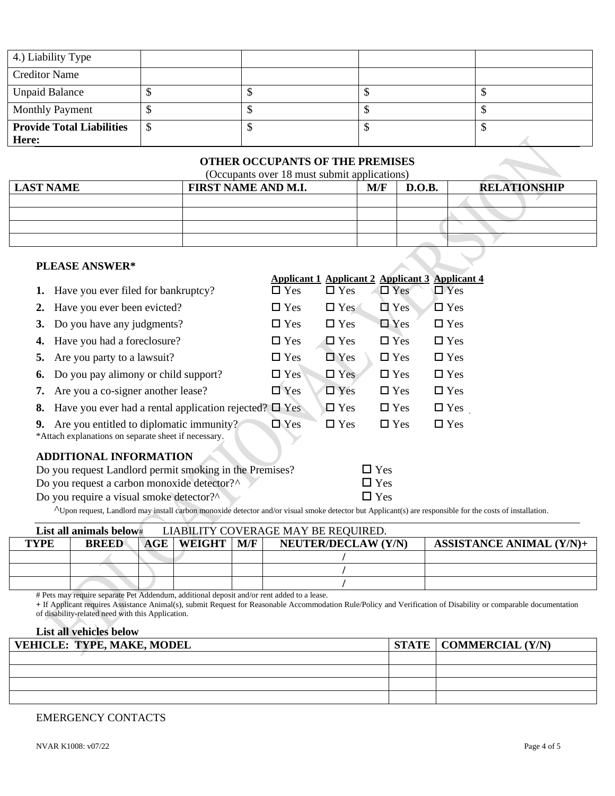| 4.) Liability Type               |  |  |
|----------------------------------|--|--|
| <b>Creditor Name</b>             |  |  |
| <b>Unpaid Balance</b>            |  |  |
| <b>Monthly Payment</b>           |  |  |
| <b>Provide Total Liabilities</b> |  |  |
| Here:                            |  |  |

### **OTHER OCCUPANTS OF THE PREMISES**

(Occupants over 18 must submit applications)

| <b>LAST NAME</b>       | FIRST NAME AND M.I. | M/F | D.O.B. | <b>RELATIONSHIP</b> |
|------------------------|---------------------|-----|--------|---------------------|
|                        |                     |     |        |                     |
|                        |                     |     |        |                     |
|                        |                     |     |        |                     |
|                        |                     |     |        |                     |
| <b>PI FASE ANSWER*</b> |                     |     |        |                     |

|    | <b>PLEASE ANSWER*</b>                                                                                                                                              |            |            |                                                        |               |
|----|--------------------------------------------------------------------------------------------------------------------------------------------------------------------|------------|------------|--------------------------------------------------------|---------------|
|    |                                                                                                                                                                    |            |            | <b>Applicant 1 Applicant 2 Applicant 3 Applicant 4</b> |               |
|    | Have you ever filed for bankruptcy?                                                                                                                                | $\Box$ Yes | $\Box$ Yes | $\Box$ Yes                                             | $\Box$ Yes    |
| 2. | Have you ever been evicted?                                                                                                                                        | $\Box$ Yes | $\Box$ Yes | $\Box$ Yes                                             | $\square$ Yes |
| 3. | Do you have any judgments?                                                                                                                                         | $\Box$ Yes | $\Box$ Yes | $\Box$ Yes                                             | $\Box$ Yes    |
| 4. | Have you had a foreclosure?                                                                                                                                        | $\Box$ Yes | $\Box$ Yes | $\Box$ Yes                                             | $\Box$ Yes    |
| 5. | Are you party to a lawsuit?                                                                                                                                        | $\Box$ Yes | $\Box$ Yes | $\Box$ Yes                                             | $\Box$ Yes    |
| 6. | Do you pay alimony or child support?                                                                                                                               | $\Box$ Yes | $\Box$ Yes | $\Box$ Yes                                             | $\Box$ Yes    |
| 7. | Are you a co-signer another lease?                                                                                                                                 | $\Box$ Yes | $\Box$ Yes | $\Box$ Yes                                             | $\Box$ Yes    |
| 8. | Have you ever had a rental application rejected? $\square$ Yes                                                                                                     |            | $\Box$ Yes | $\Box$ Yes                                             | $\Box$ Yes    |
| 9. | Are you entitled to diplomatic immunity?<br>*Attach explanations on separate sheet if necessary.                                                                   | $\Box$ Yes | $\Box$ Yes | $\Box$ Yes                                             | $\Box$ Yes    |
|    | <b>ADDITIONAL INFORMATION</b>                                                                                                                                      |            |            |                                                        |               |
|    | Do you request Landlord permit smoking in the Premises?                                                                                                            |            |            | $\square$ Yes                                          |               |
|    | Do you request a carbon monoxide detector?^                                                                                                                        |            |            | $\square$ Yes                                          |               |
|    | Do you require a visual smoke detector?                                                                                                                            |            |            | $\square$ Yes                                          |               |
|    | $\Lambda$ Upon request, Landlord may install carbon monoxide detector and/or visual smoke detector but Applicant(s) are responsible for the costs of installation. |            |            |                                                        |               |

|             | LIABILITY COVERAGE MAY BE REQUIRED.<br>List all animals below $\#$ |  |                       |            |                            |                                 |  |
|-------------|--------------------------------------------------------------------|--|-----------------------|------------|----------------------------|---------------------------------|--|
| <b>TYPE</b> | <b>BREED</b>                                                       |  | <b>AGE   WEIGHT  </b> | $\bf{M/F}$ | <b>NEUTER/DECLAW (Y/N)</b> | <b>ASSISTANCE ANIMAL (Y/N)+</b> |  |
|             |                                                                    |  |                       |            |                            |                                 |  |
|             |                                                                    |  |                       |            |                            |                                 |  |
|             |                                                                    |  |                       |            |                            |                                 |  |

# Pets may require separate Pet Addendum, additional deposit and/or rent added to a lease.

**+** If Applicant requires Assistance Animal(s), submit Request for Reasonable Accommodation Rule/Policy and Verification of Disability or comparable documentation of disability-related need with this Application.

### **List all vehicles below**

| <b>VEHICLE: TYPE, MAKE, MODEL</b> | $STATE$   COMMERCIAL $(Y/N)$ |
|-----------------------------------|------------------------------|
|                                   |                              |
|                                   |                              |
|                                   |                              |
|                                   |                              |

#### EMERGENCY CONTACTS